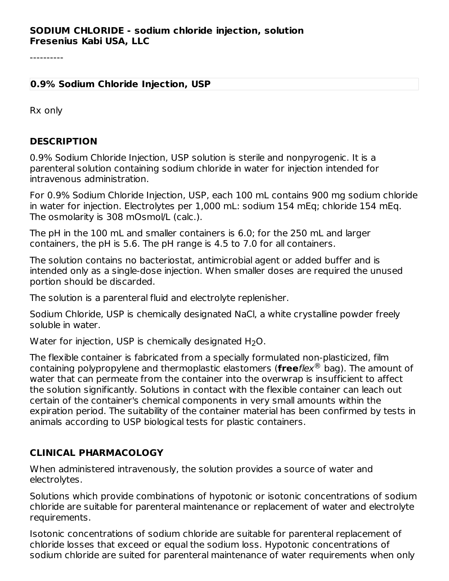----------

#### **0.9% Sodium Chloride Injection, USP**

Rx only

#### **DESCRIPTION**

0.9% Sodium Chloride Injection, USP solution is sterile and nonpyrogenic. It is a parenteral solution containing sodium chloride in water for injection intended for intravenous administration.

For 0.9% Sodium Chloride Injection, USP, each 100 mL contains 900 mg sodium chloride in water for injection. Electrolytes per 1,000 mL: sodium 154 mEq; chloride 154 mEq. The osmolarity is 308 mOsmol/L (calc.).

The pH in the 100 mL and smaller containers is 6.0; for the 250 mL and larger containers, the pH is 5.6. The pH range is 4.5 to 7.0 for all containers.

The solution contains no bacteriostat, antimicrobial agent or added buffer and is intended only as a single-dose injection. When smaller doses are required the unused portion should be discarded.

The solution is a parenteral fluid and electrolyte replenisher.

Sodium Chloride, USP is chemically designated NaCl, a white crystalline powder freely soluble in water.

Water for injection, USP is chemically designated  $H_2O$ .

The flexible container is fabricated from a specially formulated non-plasticized, film containing polypropylene and thermoplastic elastomers (free*flex®* bag). The amount of water that can permeate from the container into the overwrap is insufficient to affect the solution significantly. Solutions in contact with the flexible container can leach out certain of the container's chemical components in very small amounts within the expiration period. The suitability of the container material has been confirmed by tests in animals according to USP biological tests for plastic containers.

## **CLINICAL PHARMACOLOGY**

When administered intravenously, the solution provides a source of water and electrolytes.

Solutions which provide combinations of hypotonic or isotonic concentrations of sodium chloride are suitable for parenteral maintenance or replacement of water and electrolyte requirements.

Isotonic concentrations of sodium chloride are suitable for parenteral replacement of chloride losses that exceed or equal the sodium loss. Hypotonic concentrations of sodium chloride are suited for parenteral maintenance of water requirements when only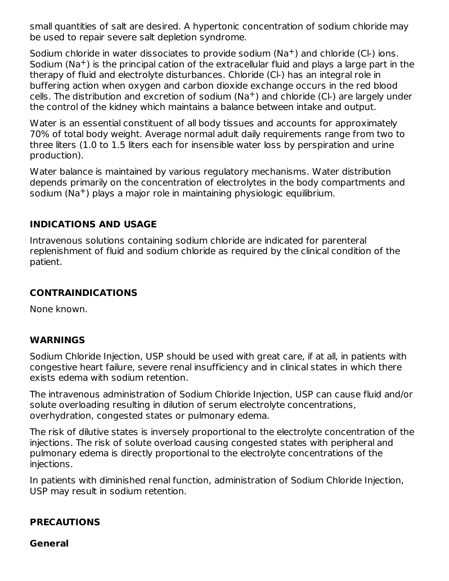small quantities of salt are desired. A hypertonic concentration of sodium chloride may be used to repair severe salt depletion syndrome.

Sodium chloride in water dissociates to provide sodium ( $\text{Na}^+$ ) and chloride (Cl-) ions. Sodium (Na<sup>+</sup>) is the principal cation of the extracellular fluid and plays a large part in the therapy of fluid and electrolyte disturbances. Chloride (Cl-) has an integral role in buffering action when oxygen and carbon dioxide exchange occurs in the red blood cells. The distribution and excretion of sodium ( $Na<sup>+</sup>$ ) and chloride (Cl-) are largely under the control of the kidney which maintains a balance between intake and output.

Water is an essential constituent of all body tissues and accounts for approximately 70% of total body weight. Average normal adult daily requirements range from two to three liters (1.0 to 1.5 liters each for insensible water loss by perspiration and urine production).

Water balance is maintained by various regulatory mechanisms. Water distribution depends primarily on the concentration of electrolytes in the body compartments and sodium (Na $^+$ ) plays a major role in maintaining physiologic equilibrium.

## **INDICATIONS AND USAGE**

Intravenous solutions containing sodium chloride are indicated for parenteral replenishment of fluid and sodium chloride as required by the clinical condition of the patient.

## **CONTRAINDICATIONS**

None known.

## **WARNINGS**

Sodium Chloride Injection, USP should be used with great care, if at all, in patients with congestive heart failure, severe renal insufficiency and in clinical states in which there exists edema with sodium retention.

The intravenous administration of Sodium Chloride Injection, USP can cause fluid and/or solute overloading resulting in dilution of serum electrolyte concentrations, overhydration, congested states or pulmonary edema.

The risk of dilutive states is inversely proportional to the electrolyte concentration of the injections. The risk of solute overload causing congested states with peripheral and pulmonary edema is directly proportional to the electrolyte concentrations of the injections.

In patients with diminished renal function, administration of Sodium Chloride Injection, USP may result in sodium retention.

#### **PRECAUTIONS**

**General**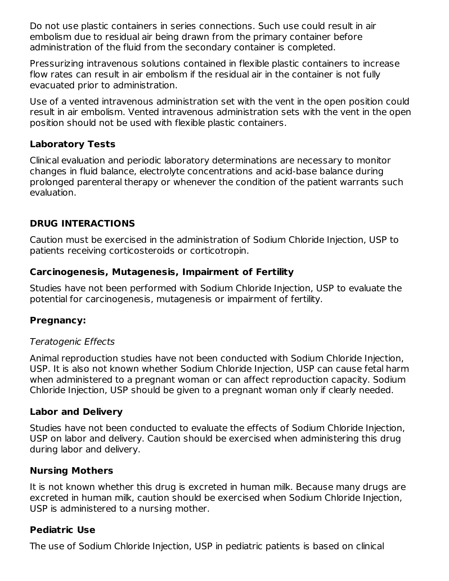Do not use plastic containers in series connections. Such use could result in air embolism due to residual air being drawn from the primary container before administration of the fluid from the secondary container is completed.

Pressurizing intravenous solutions contained in flexible plastic containers to increase flow rates can result in air embolism if the residual air in the container is not fully evacuated prior to administration.

Use of a vented intravenous administration set with the vent in the open position could result in air embolism. Vented intravenous administration sets with the vent in the open position should not be used with flexible plastic containers.

## **Laboratory Tests**

Clinical evaluation and periodic laboratory determinations are necessary to monitor changes in fluid balance, electrolyte concentrations and acid-base balance during prolonged parenteral therapy or whenever the condition of the patient warrants such evaluation.

## **DRUG INTERACTIONS**

Caution must be exercised in the administration of Sodium Chloride Injection, USP to patients receiving corticosteroids or corticotropin.

## **Carcinogenesis, Mutagenesis, Impairment of Fertility**

Studies have not been performed with Sodium Chloride Injection, USP to evaluate the potential for carcinogenesis, mutagenesis or impairment of fertility.

## **Pregnancy:**

## Teratogenic Effects

Animal reproduction studies have not been conducted with Sodium Chloride Injection, USP. It is also not known whether Sodium Chloride Injection, USP can cause fetal harm when administered to a pregnant woman or can affect reproduction capacity. Sodium Chloride Injection, USP should be given to a pregnant woman only if clearly needed.

## **Labor and Delivery**

Studies have not been conducted to evaluate the effects of Sodium Chloride Injection, USP on labor and delivery. Caution should be exercised when administering this drug during labor and delivery.

## **Nursing Mothers**

It is not known whether this drug is excreted in human milk. Because many drugs are excreted in human milk, caution should be exercised when Sodium Chloride Injection, USP is administered to a nursing mother.

## **Pediatric Use**

The use of Sodium Chloride Injection, USP in pediatric patients is based on clinical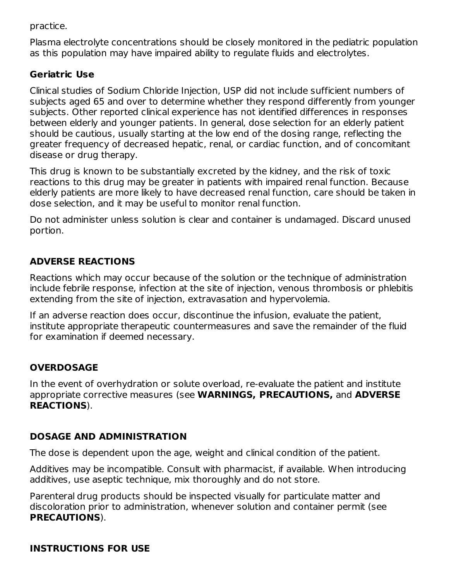practice.

Plasma electrolyte concentrations should be closely monitored in the pediatric population as this population may have impaired ability to regulate fluids and electrolytes.

## **Geriatric Use**

Clinical studies of Sodium Chloride Injection, USP did not include sufficient numbers of subjects aged 65 and over to determine whether they respond differently from younger subjects. Other reported clinical experience has not identified differences in responses between elderly and younger patients. In general, dose selection for an elderly patient should be cautious, usually starting at the low end of the dosing range, reflecting the greater frequency of decreased hepatic, renal, or cardiac function, and of concomitant disease or drug therapy.

This drug is known to be substantially excreted by the kidney, and the risk of toxic reactions to this drug may be greater in patients with impaired renal function. Because elderly patients are more likely to have decreased renal function, care should be taken in dose selection, and it may be useful to monitor renal function.

Do not administer unless solution is clear and container is undamaged. Discard unused portion.

## **ADVERSE REACTIONS**

Reactions which may occur because of the solution or the technique of administration include febrile response, infection at the site of injection, venous thrombosis or phlebitis extending from the site of injection, extravasation and hypervolemia.

If an adverse reaction does occur, discontinue the infusion, evaluate the patient, institute appropriate therapeutic countermeasures and save the remainder of the fluid for examination if deemed necessary.

## **OVERDOSAGE**

In the event of overhydration or solute overload, re-evaluate the patient and institute appropriate corrective measures (see **WARNINGS, PRECAUTIONS,** and **ADVERSE REACTIONS**).

## **DOSAGE AND ADMINISTRATION**

The dose is dependent upon the age, weight and clinical condition of the patient.

Additives may be incompatible. Consult with pharmacist, if available. When introducing additives, use aseptic technique, mix thoroughly and do not store.

Parenteral drug products should be inspected visually for particulate matter and discoloration prior to administration, whenever solution and container permit (see **PRECAUTIONS**).

## **INSTRUCTIONS FOR USE**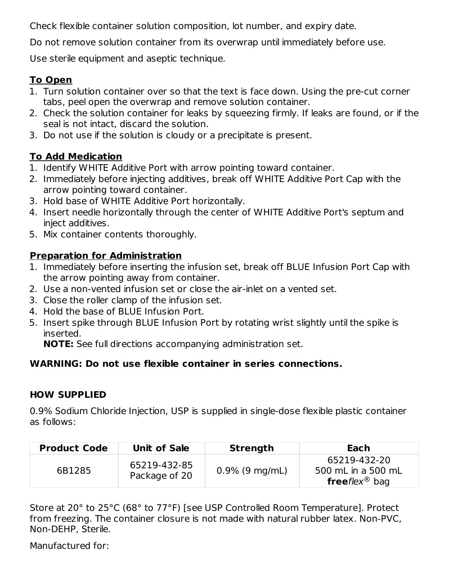Check flexible container solution composition, lot number, and expiry date.

Do not remove solution container from its overwrap until immediately before use.

Use sterile equipment and aseptic technique.

## **To Open**

- 1. Turn solution container over so that the text is face down. Using the pre-cut corner tabs, peel open the overwrap and remove solution container.
- 2. Check the solution container for leaks by squeezing firmly. If leaks are found, or if the seal is not intact, discard the solution.
- 3. Do not use if the solution is cloudy or a precipitate is present.

# **To Add Medication**

- 1. Identify WHITE Additive Port with arrow pointing toward container.
- 2. Immediately before injecting additives, break off WHITE Additive Port Cap with the arrow pointing toward container.
- 3. Hold base of WHITE Additive Port horizontally.
- 4. Insert needle horizontally through the center of WHITE Additive Port's septum and inject additives.
- 5. Mix container contents thoroughly.

# **Preparation for Administration**

- 1. Immediately before inserting the infusion set, break off BLUE Infusion Port Cap with the arrow pointing away from container.
- 2. Use a non-vented infusion set or close the air-inlet on a vented set.
- 3. Close the roller clamp of the infusion set.
- 4. Hold the base of BLUE Infusion Port.
- 5. Insert spike through BLUE Infusion Port by rotating wrist slightly until the spike is inserted.

**NOTE:** See full directions accompanying administration set.

# **WARNING: Do not use flexible container in series connections.**

## **HOW SUPPLIED**

0.9% Sodium Chloride Injection, USP is supplied in single-dose flexible plastic container as follows:

| <b>Product Code</b> | <b>Unit of Sale</b>           | <b>Strength</b>   | Each                                                            |
|---------------------|-------------------------------|-------------------|-----------------------------------------------------------------|
| 6B1285              | 65219-432-85<br>Package of 20 | $0.9\%$ (9 mg/mL) | 65219-432-20<br>500 mL in a 500 mL<br>freeflex <sup>®</sup> bag |

Store at 20° to 25°C (68° to 77°F) [see USP Controlled Room Temperature]. Protect from freezing. The container closure is not made with natural rubber latex. Non-PVC, Non-DEHP, Sterile.

Manufactured for: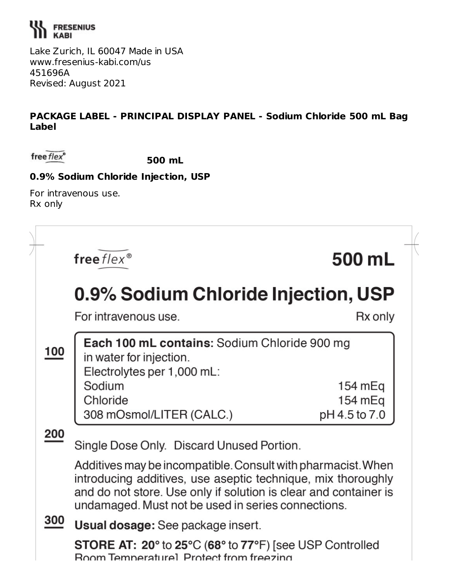# **WE FRESENIUS**

Lake Zurich, IL 60047 Made in USA www.fresenius-kabi.com/us 451696A Revised: August 2021

## **PACKAGE LABEL - PRINCIPAL DISPLAY PANEL - Sodium Chloride 500 mL Bag Label**

free  $flex^e$ 

**500 mL**

## **0.9% Sodium Chloride Injection, USP**

For intravenous use. Rx only

|             | free $flex^{\circledast}$                                                                                                                                                                                                                              | 500 mL                   |  |  |
|-------------|--------------------------------------------------------------------------------------------------------------------------------------------------------------------------------------------------------------------------------------------------------|--------------------------|--|--|
|             | 0.9% Sodium Chloride Injection, USP                                                                                                                                                                                                                    |                          |  |  |
|             | For intravenous use.                                                                                                                                                                                                                                   | Rx only                  |  |  |
| <u> 100</u> | Each 100 mL contains: Sodium Chloride 900 mg<br>in water for injection.<br>Electrolytes per 1,000 mL:                                                                                                                                                  |                          |  |  |
|             | Sodium                                                                                                                                                                                                                                                 | 154 mEg                  |  |  |
|             | Chloride<br>308 mOsmol/LITER (CALC.)                                                                                                                                                                                                                   | 154 mEg<br>pH 4.5 to 7.0 |  |  |
| 200         | Single Dose Only. Discard Unused Portion.                                                                                                                                                                                                              |                          |  |  |
|             | Additives may be incompatible. Consult with pharmacist. When<br>introducing additives, use aseptic technique, mix thoroughly<br>and do not store. Use only if solution is clear and container is<br>undamaged. Must not be used in series connections. |                          |  |  |
| 300         | <b>Usual dosage:</b> See package insert.                                                                                                                                                                                                               |                          |  |  |
|             | <b>STORE AT: 20° to 25°C (68° to 77°F) [see USP Controlled</b><br>Boom Temperaturel Protect from freezing                                                                                                                                              |                          |  |  |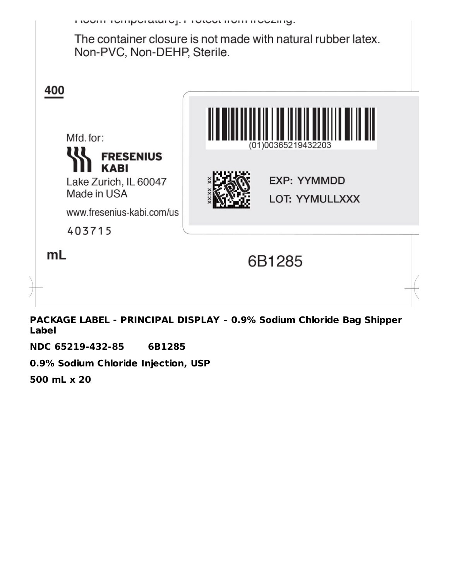

**PACKAGE LABEL - PRINCIPAL DISPLAY – 0.9% Sodium Chloride Bag Shipper Label**

**NDC 65219-432-85 6B1285**

**0.9% Sodium Chloride Injection, USP**

**500 mL x 20**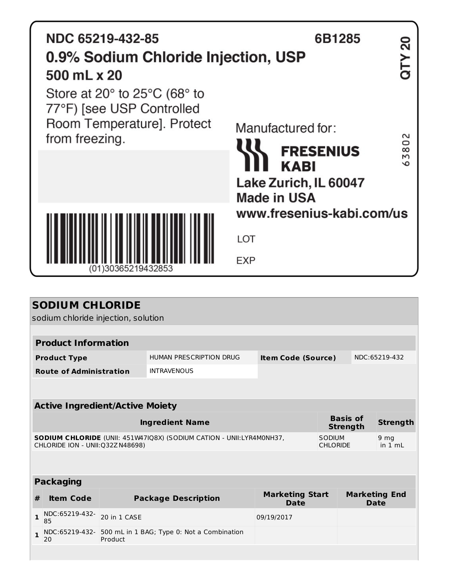

|                        | <b>SODIUM CHLORIDE</b><br>sodium chloride injection, solution                                                    |              |                            |                                       |  |                                     |                              |
|------------------------|------------------------------------------------------------------------------------------------------------------|--------------|----------------------------|---------------------------------------|--|-------------------------------------|------------------------------|
|                        |                                                                                                                  |              |                            |                                       |  |                                     |                              |
|                        | <b>Product Information</b>                                                                                       |              |                            |                                       |  |                                     |                              |
|                        | <b>Product Type</b>                                                                                              |              | HUMAN PRESCRIPTION DRUG    | <b>Item Code (Source)</b>             |  | NDC:65219-432                       |                              |
|                        | <b>Route of Administration</b>                                                                                   |              | <b>INTRAVENOUS</b>         |                                       |  |                                     |                              |
|                        |                                                                                                                  |              |                            |                                       |  |                                     |                              |
|                        | <b>Active Ingredient/Active Moiety</b>                                                                           |              |                            |                                       |  |                                     |                              |
| <b>Ingredient Name</b> |                                                                                                                  |              |                            | <b>Basis of</b><br><b>Strength</b>    |  | <b>Strength</b>                     |                              |
|                        | <b>SODIUM CHLORIDE (UNII: 451W47IQ8X) (SODIUM CATION - UNII:LYR4M0NH37,</b><br>CHLORIDE ION - UNII: Q32Z N48698) |              |                            | SODIUM<br><b>CHLORIDE</b>             |  |                                     | 9 <sub>mg</sub><br>in $1 mL$ |
|                        |                                                                                                                  |              |                            |                                       |  |                                     |                              |
|                        |                                                                                                                  |              |                            |                                       |  |                                     |                              |
|                        | <b>Packaging</b>                                                                                                 |              |                            |                                       |  |                                     |                              |
| #                      | <b>Item Code</b>                                                                                                 |              | <b>Package Description</b> | <b>Marketing Start</b><br><b>Date</b> |  | <b>Marketing End</b><br><b>Date</b> |                              |
| $\mathbf{1}$           | NDC:65219-432-<br>85                                                                                             | 20 in 1 CASE |                            | 09/19/2017                            |  |                                     |                              |
| $\mathbf{1}$           | NDC:65219-432- 500 mL in 1 BAG; Type 0: Not a Combination<br>Product<br>20                                       |              |                            |                                       |  |                                     |                              |